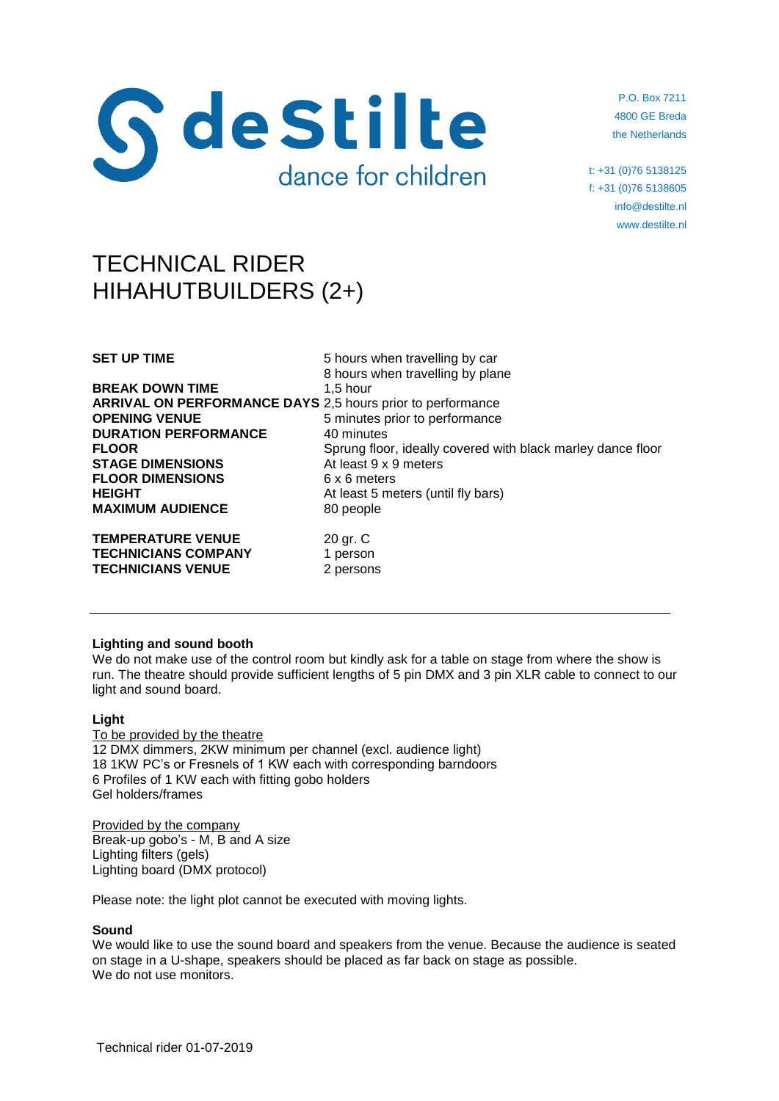

P.O. Box 7211 4800 GE Breda the Netherlands

t: +31 (0)76 5138125 f: +31 (0)76 5138605 info@destilte.nl www.destilte.nl

# TECHNICAL RIDER HIHAHUTBUILDERS (2+)

**BREAK DOWN TIME** 1,5 hour **ARRIVAL ON PERFORMANCE DAYS** 2,5 hours prior to performance **OPENING VENUE** 5 minutes prior to performance **DURATION PERFORMANCE** 40 minutes **STAGE DIMENSIONS** At least 9 x 9 meters **FLOOR DIMENSIONS** 6 x 6 meters **HEIGHT** At least 5 meters (until fly bars) **MAXIMUM AUDIENCE** 80 people

**TEMPERATURE VENUE** 20 gr. C **TECHNICIANS COMPANY** 1 person **TECHNICIANS VENUE** 2 persons

**SET UP TIME** 5 hours when travelling by car 8 hours when travelling by plane **FLOOR** Sprung floor, ideally covered with black marley dance floor

# **Lighting and sound booth**

We do not make use of the control room but kindly ask for a table on stage from where the show is run. The theatre should provide sufficient lengths of 5 pin DMX and 3 pin XLR cable to connect to our light and sound board.

## **Light**

To be provided by the theatre 12 DMX dimmers, 2KW minimum per channel (excl. audience light) 18 1KW PC's or Fresnels of 1 KW each with corresponding barndoors 6 Profiles of 1 KW each with fitting gobo holders Gel holders/frames

Provided by the company Break-up gobo's - M, B and A size Lighting filters (gels) Lighting board (DMX protocol)

Please note: the light plot cannot be executed with moving lights.

## **Sound**

We would like to use the sound board and speakers from the venue. Because the audience is seated on stage in a U-shape, speakers should be placed as far back on stage as possible. We do not use monitors.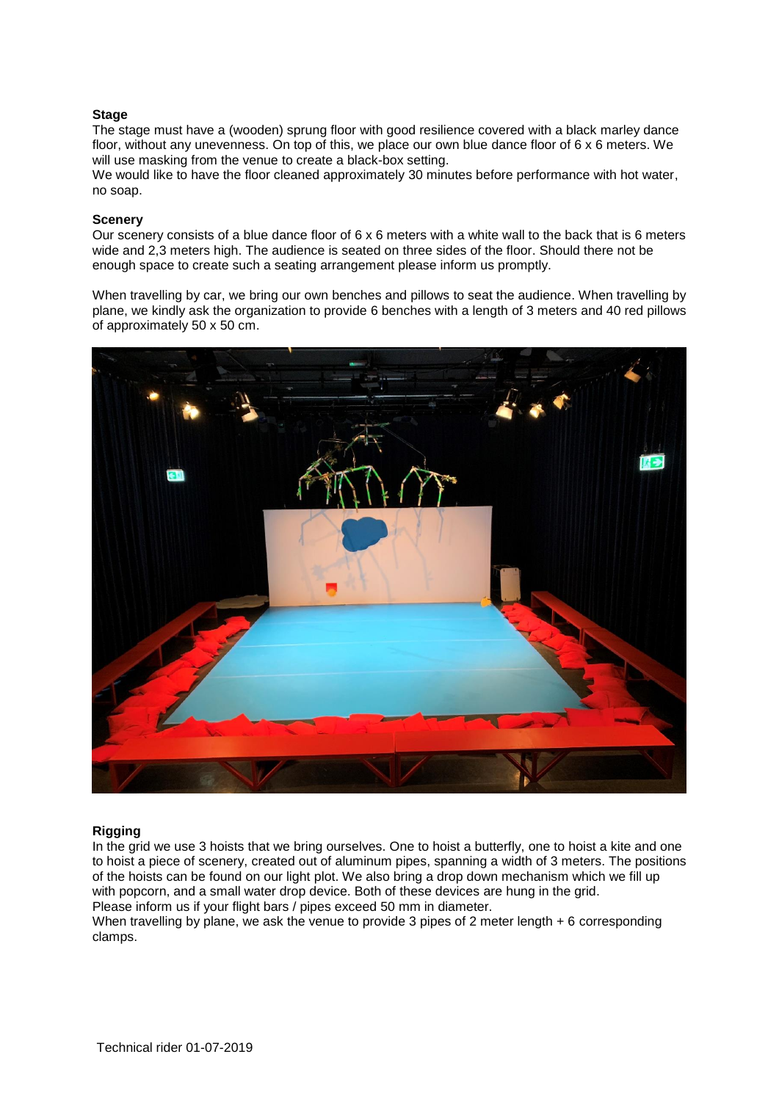# **Stage**

The stage must have a (wooden) sprung floor with good resilience covered with a black marley dance floor, without any unevenness. On top of this, we place our own blue dance floor of 6 x 6 meters. We will use masking from the venue to create a black-box setting.

We would like to have the floor cleaned approximately 30 minutes before performance with hot water, no soap.

## **Scenery**

Our scenery consists of a blue dance floor of  $6 \times 6$  meters with a white wall to the back that is 6 meters wide and 2,3 meters high. The audience is seated on three sides of the floor. Should there not be enough space to create such a seating arrangement please inform us promptly.

When travelling by car, we bring our own benches and pillows to seat the audience. When travelling by plane, we kindly ask the organization to provide 6 benches with a length of 3 meters and 40 red pillows of approximately 50 x 50 cm.



## **Rigging**

In the grid we use 3 hoists that we bring ourselves. One to hoist a butterfly, one to hoist a kite and one to hoist a piece of scenery, created out of aluminum pipes, spanning a width of 3 meters. The positions of the hoists can be found on our light plot. We also bring a drop down mechanism which we fill up with popcorn, and a small water drop device. Both of these devices are hung in the grid. Please inform us if your flight bars / pipes exceed 50 mm in diameter.

When travelling by plane, we ask the venue to provide 3 pipes of 2 meter length + 6 corresponding clamps.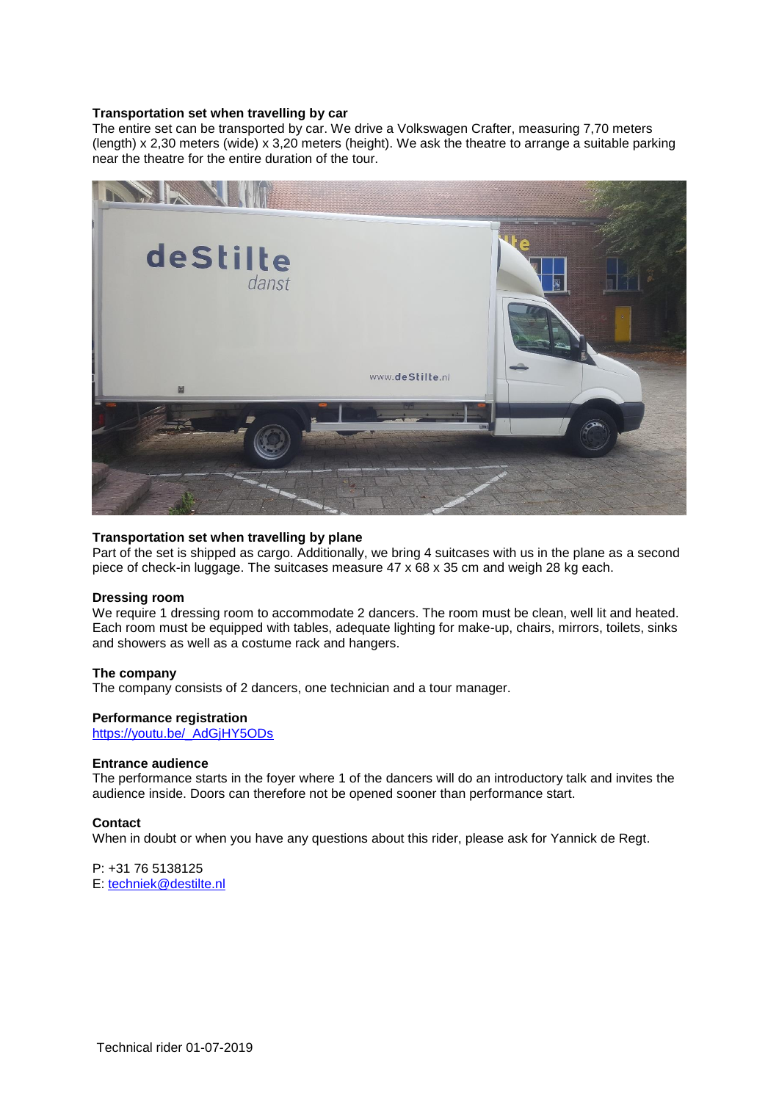## **Transportation set when travelling by car**

The entire set can be transported by car. We drive a Volkswagen Crafter, measuring 7,70 meters (length) x 2,30 meters (wide) x 3,20 meters (height). We ask the theatre to arrange a suitable parking near the theatre for the entire duration of the tour.



## **Transportation set when travelling by plane**

Part of the set is shipped as cargo. Additionally, we bring 4 suitcases with us in the plane as a second piece of check-in luggage. The suitcases measure 47 x 68 x 35 cm and weigh 28 kg each.

#### **Dressing room**

We require 1 dressing room to accommodate 2 dancers. The room must be clean, well lit and heated. Each room must be equipped with tables, adequate lighting for make-up, chairs, mirrors, toilets, sinks and showers as well as a costume rack and hangers.

#### **The company**

The company consists of 2 dancers, one technician and a tour manager.

#### **Performance registration**

[https://youtu.be/\\_AdGjHY5ODs](https://youtu.be/_AdGjHY5ODs)

### **Entrance audience**

The performance starts in the foyer where 1 of the dancers will do an introductory talk and invites the audience inside. Doors can therefore not be opened sooner than performance start.

#### **Contact**

When in doubt or when you have any questions about this rider, please ask for Yannick de Regt.

P: +31 76 5138125 E: [techniek@destilte.nl](mailto:techniek@destilte.nl)